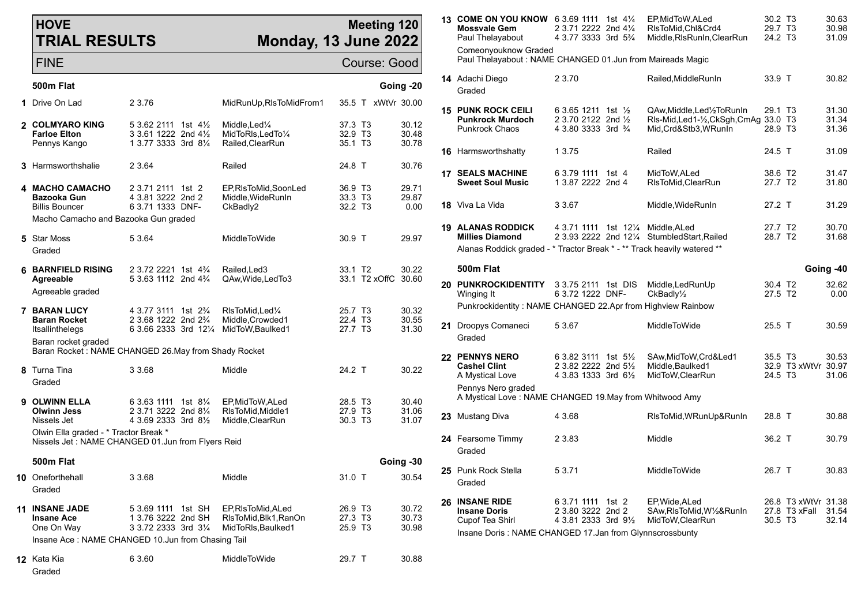## **HOVE TRIAL RESULTS**

## **Meeting 12 Monday, 13 June 2022**

| <b>HOVE</b><br><b>TRIAL RESULTS</b>                                                        |                                                                                                | Monday, 13 June 2022                                                              |                                           | <b>Meeting 120</b>      |                                                           | <b>13 COME ON YOU KNOW</b> 6 3.69 1111 1st 41/4<br><b>Mossvale Gem</b><br>Paul Thelayabout<br>Comeonyouknow Graded  | 2 3.71 2222 2nd 41/4<br>4 3.77 3333 3rd 5 <sup>3</sup> / <sub>4</sub> | EP, MidToW, ALed<br>RIsToMid, Chl&Crd4<br>Middle, RIs RunIn, Clear Run | 30.2 T3<br>29.7 T <sub>3</sub><br>24.2 T <sub>3</sub> |                                      | 30.63<br>30.98<br>31.09 |
|--------------------------------------------------------------------------------------------|------------------------------------------------------------------------------------------------|-----------------------------------------------------------------------------------|-------------------------------------------|-------------------------|-----------------------------------------------------------|---------------------------------------------------------------------------------------------------------------------|-----------------------------------------------------------------------|------------------------------------------------------------------------|-------------------------------------------------------|--------------------------------------|-------------------------|
| <b>FINE</b>                                                                                |                                                                                                |                                                                                   |                                           | Course: Good            | Paul Thelayabout: NAME CHANGED 01.Jun from Maireads Magic |                                                                                                                     |                                                                       |                                                                        |                                                       |                                      |                         |
| 500m Flat                                                                                  |                                                                                                |                                                                                   |                                           | Going -20               |                                                           | 14 Adachi Diego<br>Graded                                                                                           | 2 3.70                                                                | Railed, Middle RunIn                                                   | 33.9 T                                                |                                      | 30.82                   |
| 1 Drive On Lad                                                                             | 2 3.76                                                                                         | MidRunUp, RIsToMidFrom1                                                           |                                           | 35.5 T xWtVr 30.00      |                                                           | <b>15 PUNK ROCK CEILI</b>                                                                                           | 6 3.65 1211 1st 1/2                                                   | QAw, Middle, Led 1/2To Run In                                          | 29.1 T <sub>3</sub>                                   |                                      | 31.30                   |
| 2 COLMYARO KING<br><b>Farloe Elton</b><br>Pennys Kango                                     | 5 3.62 2111 1st 4%<br>3 3.61 1222 2nd 41/2<br>1 3.77 3333 3rd 81/4                             | Middle, Led <sup>1</sup> / <sub>4</sub><br>MidToRIs, LedTo1/4<br>Railed, ClearRun | 37.3 T3<br>32.9 T3<br>35.1 T <sub>3</sub> | 30.12<br>30.48<br>30.78 |                                                           | <b>Punkrock Murdoch</b><br><b>Punkrock Chaos</b>                                                                    | 2 3.70 2122 2nd 1/2<br>4 3.80 3333 3rd 3/4                            | RIs-Mid, Led1-1/2, CkSgh, CmAg 33.0 T3<br>Mid, Crd&Stb3, WRunIn        | 28.9 T3                                               |                                      | 31.34<br>31.36          |
| 3 Harmsworthshalie                                                                         | 2 3.64                                                                                         | Railed                                                                            | 24.8 T                                    | 30.76                   |                                                           | <b>16</b> Harmsworthshatty                                                                                          | 1 3.75                                                                | Railed                                                                 | 24.5 T                                                |                                      | 31.09                   |
|                                                                                            |                                                                                                |                                                                                   |                                           |                         |                                                           | <b>17 SEALS MACHINE</b><br><b>Sweet Soul Music</b>                                                                  | 6 3.79 1111 1st 4<br>1 3.87 2222 2nd 4                                | MidToW.ALed<br>RIsToMid, ClearRun                                      | 38.6 T2<br>27.7 T2                                    |                                      | 31.47<br>31.80          |
| 4 MACHO CAMACHO<br>Bazooka Gun<br><b>Billis Bouncer</b>                                    | 2 3.71 2111 1st 2<br>4 3.81 3222 2nd 2<br>6 3.71 1333 DNF-                                     | EP, RIs To Mid, Soon Led<br>Middle, WideRunIn<br>CkBadly2                         | 36.9 T3<br>33.3 T3<br>32.2 T3             | 29.71<br>29.87<br>0.00  |                                                           | <b>18</b> Viva La Vida                                                                                              | 3 3.67                                                                | Middle, WideRunIn                                                      | 27.2 T                                                |                                      | 31.29                   |
| Macho Camacho and Bazooka Gun graded                                                       |                                                                                                |                                                                                   |                                           |                         |                                                           | <b>19 ALANAS RODDICK</b>                                                                                            | 4 3.71 1111 1st 121/4 Middle, ALed                                    |                                                                        | 27.7 T2                                               |                                      | 30.70                   |
| 5 Star Moss<br>Graded                                                                      | 5 3.64                                                                                         | MiddleToWide                                                                      | 30.9 T                                    | 29.97                   |                                                           | <b>Millies Diamond</b><br>Alanas Roddick graded - * Tractor Break * - ** Track heavily watered **                   | 2 3.93 2222 2nd 121/4 Stumbled Start, Railed                          |                                                                        | 28.7 T2                                               |                                      | 31.68                   |
|                                                                                            |                                                                                                |                                                                                   |                                           | 500m Flat               |                                                           |                                                                                                                     |                                                                       |                                                                        | Going -40                                             |                                      |                         |
| <b>6 BARNFIELD RISING</b><br>Agreeable<br>Agreeable graded                                 | 2 3.72 2221 1st 4 <sup>3</sup> / <sub>4</sub><br>5 3.63 1112 2nd 4 <sup>3</sup> / <sub>4</sub> | Railed, Led 3<br>QAw, Wide, Led To 3                                              | 33.1 T2<br>33.1 T2 xOffC                  | 30.22<br>30.60          | 20                                                        | <b>PUNKROCKIDENTITY</b><br>Winging It                                                                               | 3 3.75 2111 1st DIS<br>6 3.72 1222 DNF-                               | Middle,LedRunUp<br>CkBadly <sup>1</sup> / <sub>2</sub>                 | 30.4 T <sub>2</sub><br>27.5 T2                        |                                      | 32.62<br>0.00           |
| <b>7 BARAN LUCY</b>                                                                        | 4 3.77 3111 1st 2 <sup>3</sup> / <sub>4</sub>                                                  | RIsToMid, Led <sup>1/4</sup>                                                      | 25.7 T3                                   | 30.32                   |                                                           | Punkrockidentity: NAME CHANGED 22.Apr from Highview Rainbow                                                         |                                                                       |                                                                        |                                                       |                                      |                         |
| <b>Baran Rocket</b><br>Itsallinthelegs                                                     | 2 3.68 1222 2nd 2 <sup>3</sup> / <sub>4</sub><br>6 3.66 2333 3rd 121/4 MidToW, Baulked 1       | Middle, Crowded1                                                                  | 22.4 T3<br>27.7 T3                        | 30.55<br>31.30          |                                                           | 21 Droopys Comaneci<br>Graded                                                                                       | 5 3.67                                                                | MiddleToWide                                                           | $25.5$ T                                              |                                      | 30.59                   |
| Baran rocket graded<br>Baran Rocket: NAME CHANGED 26.May from Shady Rocket                 |                                                                                                |                                                                                   |                                           |                         |                                                           | 22 PENNYS NERO                                                                                                      | 6 3.82 3111 1st 51/2                                                  | SAw, MidToW, Crd&Led1                                                  | 35.5 T3                                               |                                      | 30.53                   |
| 8 Turna Tina<br>Graded                                                                     | 3 3.68                                                                                         | Middle                                                                            | 24.2 T                                    | 30.22                   |                                                           | Cashel Clint<br>A Mystical Love                                                                                     | 2 3.82 2222 2nd 51/2<br>4 3.83 1333 3rd 61/2                          | Middle, Baulked1<br>MidToW, ClearRun                                   | 24.5 T3                                               | 32.9 T3 xWtVr 30.97                  | 31.06                   |
| 9 OLWINN ELLA                                                                              | 6 3.63 1111 1st 81/4                                                                           | EP, MidToW, ALed                                                                  | 28.5 T3                                   | 30.40                   |                                                           | Pennys Nero graded<br>A Mystical Love: NAME CHANGED 19. May from Whitwood Amy                                       |                                                                       |                                                                        |                                                       |                                      |                         |
| <b>Olwinn Jess</b><br>Nissels Jet                                                          | 2 3.71 3222 2nd 81/4<br>4 3.69 2333 3rd 81/2                                                   | RIsToMid, Middle1<br>Middle, ClearRun                                             | 27.9 T3<br>30.3 T3                        | 31.06<br>31.07          |                                                           | 23 Mustang Diva                                                                                                     | 4 3.68                                                                | RIsToMid, WRunUp&RunIn                                                 | 28.8 T                                                |                                      | 30.88                   |
| Olwin Ella graded - * Tractor Break *<br>Nissels Jet: NAME CHANGED 01.Jun from Flyers Reid |                                                                                                |                                                                                   |                                           |                         |                                                           | 24 Fearsome Timmy<br>Graded                                                                                         | 2 3.83                                                                | Middle                                                                 | 36.2 T                                                |                                      | 30.79                   |
| 500m Flat                                                                                  |                                                                                                |                                                                                   |                                           | Going -30               |                                                           | 25 Punk Rock Stella                                                                                                 | 53.71                                                                 | MiddleToWide                                                           | 26.7 T                                                |                                      | 30.83                   |
| 10 Oneforthehall<br>Graded                                                                 | 3 3.68                                                                                         | Middle                                                                            | 31.0 T                                    | 30.54                   |                                                           | Graded                                                                                                              |                                                                       |                                                                        |                                                       |                                      |                         |
| 11 INSANE JADE<br><b>Insane Ace</b><br>One On Way                                          | 5 3.69 1111 1st SH<br>1 3.76 3222 2nd SH<br>3 3.72 2333 3rd 31/4                               | EP, RIs To Mid, ALed<br>RIsToMid, Blk1, RanOn<br>MidToRIs, Baulked1               | 26.9 T3<br>27.3 T3<br>25.9 T3             | 30.72<br>30.73<br>30.98 |                                                           | 26 INSANE RIDE<br><b>Insane Doris</b><br>Cupof Tea Shirl<br>Insane Doris: NAME CHANGED 17.Jan from Glynnscrossbunty | 6 3.71 1111 1st 2<br>2 3.80 3222 2nd 2<br>4 3.81 2333 3rd 91/2        | EP, Wide, ALed<br>SAw, RIsToMid, W1/2& RunIn<br>MidToW,ClearRun        | 30.5 T3                                               | 26.8 T3 xWtVr 31.38<br>27.8 T3 xFall | 31.54<br>32.14          |
| Insane Ace: NAME CHANGED 10.Jun from Chasing Tail                                          |                                                                                                |                                                                                   |                                           |                         |                                                           |                                                                                                                     |                                                                       |                                                                        |                                                       |                                      |                         |
| 12 Kata Kia                                                                                | 6 3.60                                                                                         | MiddleToWide                                                                      | 29.7 T                                    | 30.88                   |                                                           |                                                                                                                     |                                                                       |                                                                        |                                                       |                                      |                         |

Graded